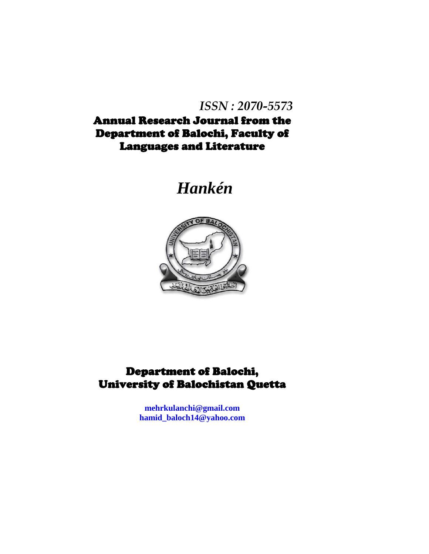# *ISSN : 2070-5573*

Annual Research Journal from the Department of Balochi, Faculty of Languages and Literature

# *Hankén*



## Department of Balochi, University of Balochistan Quetta

**[mehrkulanchi@gmail.com](mailto:mehrkulanchi@gmail.com) [hamid\\_baloch14@yahoo.com](mailto:hamid_baloch14@yahoo.com)**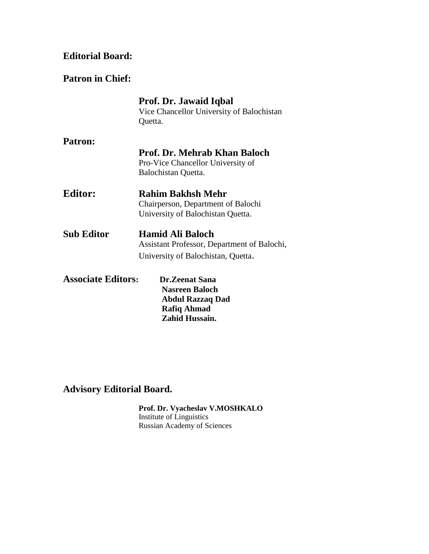#### **Editorial Board:**

#### **Patron in Chief:**

|                           | Prof. Dr. Jawaid Iqbal                      |
|---------------------------|---------------------------------------------|
|                           | Vice Chancellor University of Balochistan   |
|                           | Quetta.                                     |
| <b>Patron:</b>            |                                             |
|                           | <b>Prof. Dr. Mehrab Khan Baloch</b>         |
|                           | Pro-Vice Chancellor University of           |
|                           | Balochistan Quetta.                         |
| <b>Editor:</b>            | <b>Rahim Bakhsh Mehr</b>                    |
|                           | Chairperson, Department of Balochi          |
|                           | University of Balochistan Quetta.           |
| Sub Editor                | <b>Hamid Ali Baloch</b>                     |
|                           | Assistant Professor, Department of Balochi, |
|                           | University of Balochistan, Quetta.          |
| <b>Associate Editors:</b> | <b>Dr.Zeenat Sana</b>                       |
|                           | <b>Nasreen Baloch</b>                       |
|                           | <b>Abdul Razzaq Dad</b>                     |
|                           | <b>Rafiq Ahmad</b>                          |
|                           | Zahid Hussain.                              |

## **Advisory Editorial Board.**

**Prof. Dr. Vyacheslav V.MOSHKALO** Institute of Linguistics Russian Academy of Sciences